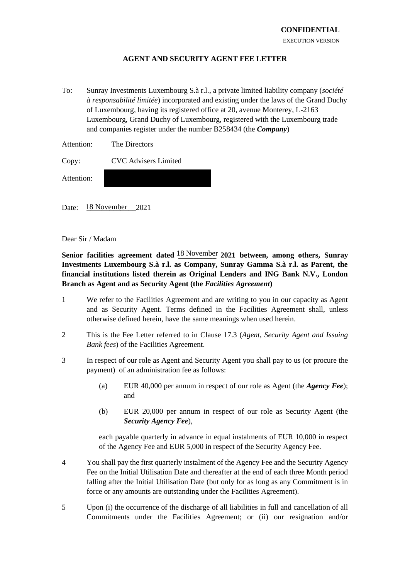## **AGENT AND SECURITY AGENT FEE LETTER**

To: Sunray Investments Luxembourg S.à r.l., a private limited liability company (*société à responsabilité limitée*) incorporated and existing under the laws of the Grand Duchy of Luxembourg, having its registered office at 20, avenue Monterey, L-2163 Luxembourg, Grand Duchy of Luxembourg, registered with the Luxembourg trade and companies register under the number B258434 (the *Company*)

| Attention: | The Directors |
|------------|---------------|
|            |               |

Copy: CVC Advisers Limited

Attention:

Date: 18 November 2021

Dear Sir / Madam

Senior facilities agreement dated  $\frac{18 \text{ November}}{2021}$  between, among others, Sunray **Investments Luxembourg S.à r.l. as Company, Sunray Gamma S.à r.l. as Parent, the financial institutions listed therein as Original Lenders and ING Bank N.V., London Branch as Agent and as Security Agent (the** *Facilities Agreement***)**

- 1 We refer to the Facilities Agreement and are writing to you in our capacity as Agent and as Security Agent. Terms defined in the Facilities Agreement shall, unless otherwise defined herein, have the same meanings when used herein.
- 2 This is the Fee Letter referred to in Clause 17.3 (*Agent, Security Agent and Issuing Bank fees*) of the Facilities Agreement.
- 3 In respect of our role as Agent and Security Agent you shall pay to us (or procure the payment) of an administration fee as follows:
	- (a) EUR 40,000 per annum in respect of our role as Agent (the *Agency Fee*); and
	- (b) EUR 20,000 per annum in respect of our role as Security Agent (the *Security Agency Fee*),

each payable quarterly in advance in equal instalments of EUR 10,000 in respect of the Agency Fee and EUR 5,000 in respect of the Security Agency Fee.

- 4 You shall pay the first quarterly instalment of the Agency Fee and the Security Agency Fee on the Initial Utilisation Date and thereafter at the end of each three Month period falling after the Initial Utilisation Date (but only for as long as any Commitment is in force or any amounts are outstanding under the Facilities Agreement).
- 5 Upon (i) the occurrence of the discharge of all liabilities in full and cancellation of all Commitments under the Facilities Agreement; or (ii) our resignation and/or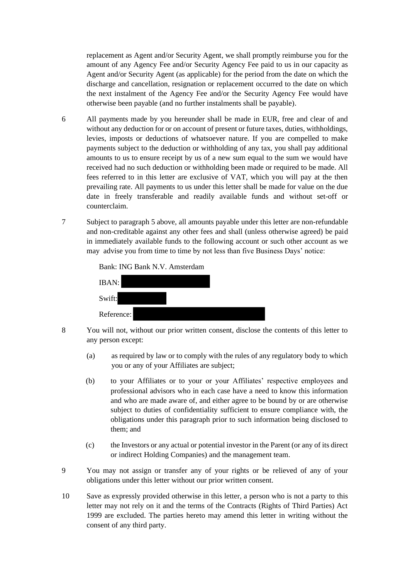replacement as Agent and/or Security Agent, we shall promptly reimburse you for the amount of any Agency Fee and/or Security Agency Fee paid to us in our capacity as Agent and/or Security Agent (as applicable) for the period from the date on which the discharge and cancellation, resignation or replacement occurred to the date on which the next instalment of the Agency Fee and/or the Security Agency Fee would have otherwise been payable (and no further instalments shall be payable).

- 6 All payments made by you hereunder shall be made in EUR, free and clear of and without any deduction for or on account of present or future taxes, duties, withholdings, levies, imposts or deductions of whatsoever nature. If you are compelled to make payments subject to the deduction or withholding of any tax, you shall pay additional amounts to us to ensure receipt by us of a new sum equal to the sum we would have received had no such deduction or withholding been made or required to be made. All fees referred to in this letter are exclusive of VAT, which you will pay at the then prevailing rate. All payments to us under this letter shall be made for value on the due date in freely transferable and readily available funds and without set-off or counterclaim.
- 7 Subject to paragraph 5 above, all amounts payable under this letter are non-refundable and non-creditable against any other fees and shall (unless otherwise agreed) be paid in immediately available funds to the following account or such other account as we may advise you from time to time by not less than five Business Days' notice:

| Bank: ING Bank N.V. Amsterdam |  |  |
|-------------------------------|--|--|
| IBAN:                         |  |  |
| Swift:                        |  |  |
| Reference:                    |  |  |

- 
- 8 You will not, without our prior written consent, disclose the contents of this letter to any person except:
	- (a) as required by law or to comply with the rules of any regulatory body to which you or any of your Affiliates are subject;
	- (b) to your Affiliates or to your or your Affiliates' respective employees and professional advisors who in each case have a need to know this information and who are made aware of, and either agree to be bound by or are otherwise subject to duties of confidentiality sufficient to ensure compliance with, the obligations under this paragraph prior to such information being disclosed to them; and
	- (c) the Investors or any actual or potential investor in the Parent (or any of its direct or indirect Holding Companies) and the management team.
- 9 You may not assign or transfer any of your rights or be relieved of any of your obligations under this letter without our prior written consent.
- 10 Save as expressly provided otherwise in this letter, a person who is not a party to this letter may not rely on it and the terms of the Contracts (Rights of Third Parties) Act 1999 are excluded. The parties hereto may amend this letter in writing without the consent of any third party.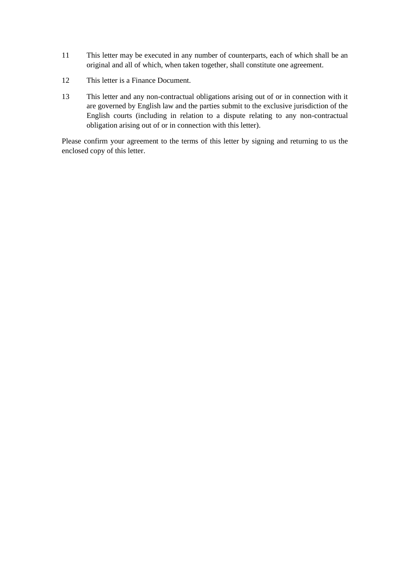- 11 This letter may be executed in any number of counterparts, each of which shall be an original and all of which, when taken together, shall constitute one agreement.
- 12 This letter is a Finance Document.
- 13 This letter and any non-contractual obligations arising out of or in connection with it are governed by English law and the parties submit to the exclusive jurisdiction of the English courts (including in relation to a dispute relating to any non-contractual obligation arising out of or in connection with this letter).

Please confirm your agreement to the terms of this letter by signing and returning to us the enclosed copy of this letter.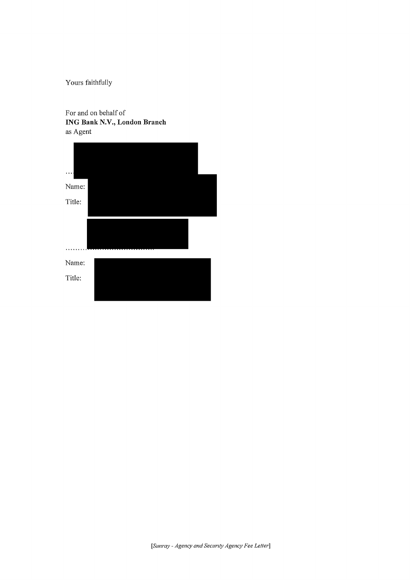Yours faithfully

For and on behalf of **ING Bank N.V., London Branch** as Agent

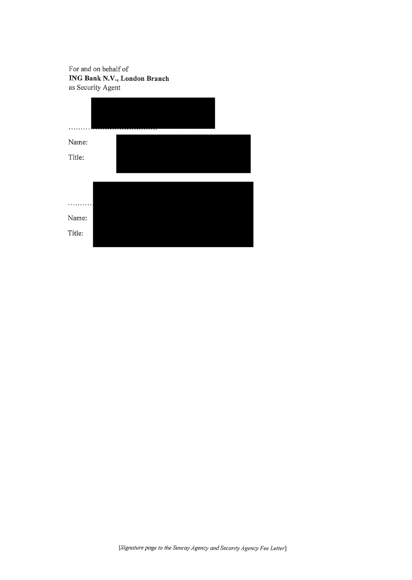For and on behalf of **ING Bank N.V., London Branch** as Security Agent